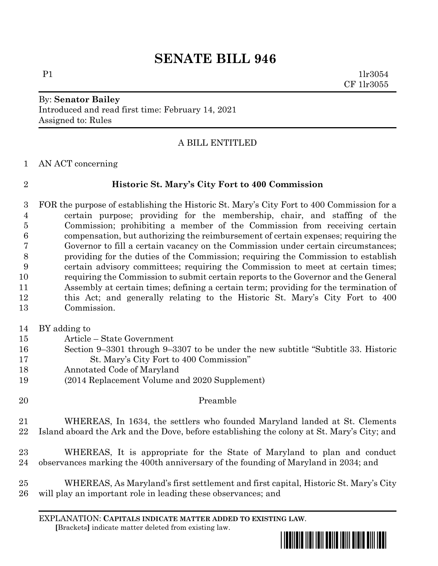# **SENATE BILL 946**

### By: **Senator Bailey** Introduced and read first time: February 14, 2021 Assigned to: Rules

# A BILL ENTITLED

AN ACT concerning

## **Historic St. Mary's City Fort to 400 Commission**

 FOR the purpose of establishing the Historic St. Mary's City Fort to 400 Commission for a certain purpose; providing for the membership, chair, and staffing of the Commission; prohibiting a member of the Commission from receiving certain compensation, but authorizing the reimbursement of certain expenses; requiring the Governor to fill a certain vacancy on the Commission under certain circumstances; providing for the duties of the Commission; requiring the Commission to establish certain advisory committees; requiring the Commission to meet at certain times; requiring the Commission to submit certain reports to the Governor and the General Assembly at certain times; defining a certain term; providing for the termination of this Act; and generally relating to the Historic St. Mary's City Fort to 400 Commission.

- BY adding to
- Article State Government
- Section 9–3301 through 9–3307 to be under the new subtitle "Subtitle 33. Historic St. Mary's City Fort to 400 Commission"
- Annotated Code of Maryland
- (2014 Replacement Volume and 2020 Supplement)
- Preamble
- WHEREAS, In 1634, the settlers who founded Maryland landed at St. Clements Island aboard the Ark and the Dove, before establishing the colony at St. Mary's City; and
- WHEREAS, It is appropriate for the State of Maryland to plan and conduct observances marking the 400th anniversary of the founding of Maryland in 2034; and
- WHEREAS, As Maryland's first settlement and first capital, Historic St. Mary's City will play an important role in leading these observances; and

EXPLANATION: **CAPITALS INDICATE MATTER ADDED TO EXISTING LAW**.  **[**Brackets**]** indicate matter deleted from existing law.



 $P1$   $1\text{lr}3054$ CF 1lr3055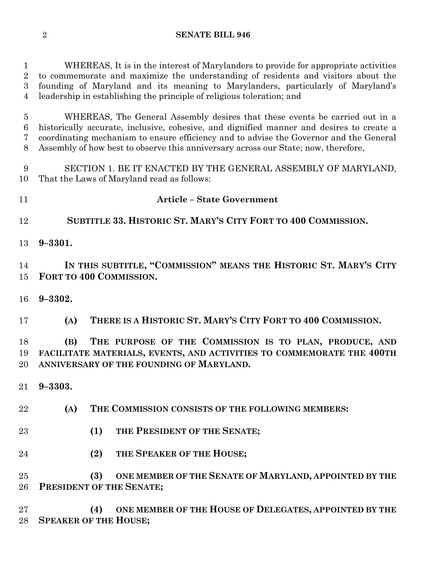WHEREAS, It is in the interest of Marylanders to provide for appropriate activities to commemorate and maximize the understanding of residents and visitors about the founding of Maryland and its meaning to Marylanders, particularly of Maryland's leadership in establishing the principle of religious toleration; and

 WHEREAS, The General Assembly desires that these events be carried out in a historically accurate, inclusive, cohesive, and dignified manner and desires to create a coordinating mechanism to ensure efficiency and to advise the Governor and the General Assembly of how best to observe this anniversary across our State; now, therefore,

 SECTION 1. BE IT ENACTED BY THE GENERAL ASSEMBLY OF MARYLAND, That the Laws of Maryland read as follows:

- **Article – State Government**
- **SUBTITLE 33. HISTORIC ST. MARY'S CITY FORT TO 400 COMMISSION.**
- **9–3301.**

 **IN THIS SUBTITLE, "COMMISSION" MEANS THE HISTORIC ST. MARY'S CITY FORT TO 400 COMMISSION.**

**9–3302.**

**(A) THERE IS A HISTORIC ST. MARY'S CITY FORT TO 400 COMMISSION.**

 **(B) THE PURPOSE OF THE COMMISSION IS TO PLAN, PRODUCE, AND FACILITATE MATERIALS, EVENTS, AND ACTIVITIES TO COMMEMORATE THE 400TH ANNIVERSARY OF THE FOUNDING OF MARYLAND.**

- **9–3303.**
- **(A) THE COMMISSION CONSISTS OF THE FOLLOWING MEMBERS:**
- **(1) THE PRESIDENT OF THE SENATE;**
- **(2) THE SPEAKER OF THE HOUSE;**

 **(3) ONE MEMBER OF THE SENATE OF MARYLAND, APPOINTED BY THE PRESIDENT OF THE SENATE;**

 **(4) ONE MEMBER OF THE HOUSE OF DELEGATES, APPOINTED BY THE SPEAKER OF THE HOUSE;**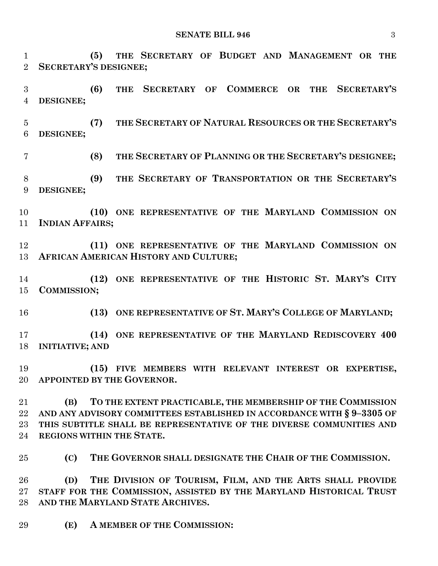**(5) THE SECRETARY OF BUDGET AND MANAGEMENT OR THE SECRETARY'S DESIGNEE; (6) THE SECRETARY OF COMMERCE OR THE SECRETARY'S DESIGNEE; (7) THE SECRETARY OF NATURAL RESOURCES OR THE SECRETARY'S DESIGNEE; (8) THE SECRETARY OF PLANNING OR THE SECRETARY'S DESIGNEE; (9) THE SECRETARY OF TRANSPORTATION OR THE SECRETARY'S DESIGNEE; (10) ONE REPRESENTATIVE OF THE MARYLAND COMMISSION ON INDIAN AFFAIRS; (11) ONE REPRESENTATIVE OF THE MARYLAND COMMISSION ON AFRICAN AMERICAN HISTORY AND CULTURE; (12) ONE REPRESENTATIVE OF THE HISTORIC ST. MARY'S CITY COMMISSION; (13) ONE REPRESENTATIVE OF ST. MARY'S COLLEGE OF MARYLAND; (14) ONE REPRESENTATIVE OF THE MARYLAND REDISCOVERY 400 INITIATIVE; AND (15) FIVE MEMBERS WITH RELEVANT INTEREST OR EXPERTISE, APPOINTED BY THE GOVERNOR. (B) TO THE EXTENT PRACTICABLE, THE MEMBERSHIP OF THE COMMISSION AND ANY ADVISORY COMMITTEES ESTABLISHED IN ACCORDANCE WITH § 9–3305 OF THIS SUBTITLE SHALL BE REPRESENTATIVE OF THE DIVERSE COMMUNITIES AND REGIONS WITHIN THE STATE. (C) THE GOVERNOR SHALL DESIGNATE THE CHAIR OF THE COMMISSION. (D) THE DIVISION OF TOURISM, FILM, AND THE ARTS SHALL PROVIDE STAFF FOR THE COMMISSION, ASSISTED BY THE MARYLAND HISTORICAL TRUST AND THE MARYLAND STATE ARCHIVES. (E) A MEMBER OF THE COMMISSION:**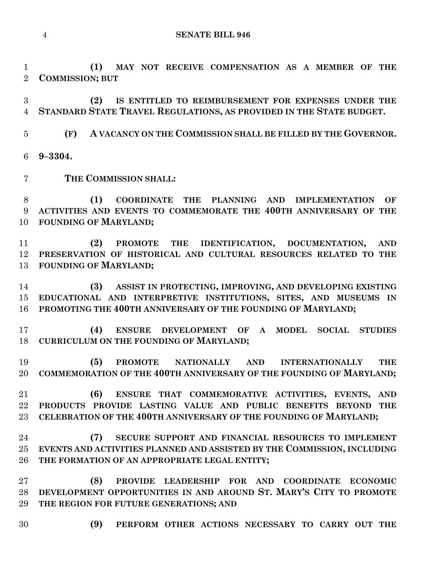**(1) MAY NOT RECEIVE COMPENSATION AS A MEMBER OF THE COMMISSION; BUT**

 **(2) IS ENTITLED TO REIMBURSEMENT FOR EXPENSES UNDER THE STANDARD STATE TRAVEL REGULATIONS, AS PROVIDED IN THE STATE BUDGET.**

**(F) A VACANCY ON THE COMMISSION SHALL BE FILLED BY THE GOVERNOR.**

**9–3304.**

**THE COMMISSION SHALL:**

 **(1) COORDINATE THE PLANNING AND IMPLEMENTATION OF ACTIVITIES AND EVENTS TO COMMEMORATE THE 400TH ANNIVERSARY OF THE FOUNDING OF MARYLAND;**

 **(2) PROMOTE THE IDENTIFICATION, DOCUMENTATION, AND PRESERVATION OF HISTORICAL AND CULTURAL RESOURCES RELATED TO THE FOUNDING OF MARYLAND;**

 **(3) ASSIST IN PROTECTING, IMPROVING, AND DEVELOPING EXISTING EDUCATIONAL AND INTERPRETIVE INSTITUTIONS, SITES, AND MUSEUMS IN PROMOTING THE 400TH ANNIVERSARY OF THE FOUNDING OF MARYLAND;**

 **(4) ENSURE DEVELOPMENT OF A MODEL SOCIAL STUDIES CURRICULUM ON THE FOUNDING OF MARYLAND;**

 **(5) PROMOTE NATIONALLY AND INTERNATIONALLY THE COMMEMORATION OF THE 400TH ANNIVERSARY OF THE FOUNDING OF MARYLAND;**

 **(6) ENSURE THAT COMMEMORATIVE ACTIVITIES, EVENTS, AND PRODUCTS PROVIDE LASTING VALUE AND PUBLIC BENEFITS BEYOND THE CELEBRATION OF THE 400TH ANNIVERSARY OF THE FOUNDING OF MARYLAND;**

 **(7) SECURE SUPPORT AND FINANCIAL RESOURCES TO IMPLEMENT EVENTS AND ACTIVITIES PLANNED AND ASSISTED BY THE COMMISSION, INCLUDING THE FORMATION OF AN APPROPRIATE LEGAL ENTITY;**

 **(8) PROVIDE LEADERSHIP FOR AND COORDINATE ECONOMIC DEVELOPMENT OPPORTUNITIES IN AND AROUND ST. MARY'S CITY TO PROMOTE THE REGION FOR FUTURE GENERATIONS; AND**

- 
- **(9) PERFORM OTHER ACTIONS NECESSARY TO CARRY OUT THE**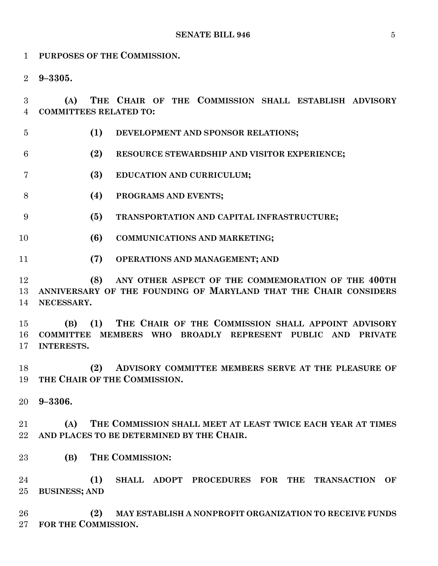**PURPOSES OF THE COMMISSION. 9–3305. (A) THE CHAIR OF THE COMMISSION SHALL ESTABLISH ADVISORY COMMITTEES RELATED TO: (1) DEVELOPMENT AND SPONSOR RELATIONS; (2) RESOURCE STEWARDSHIP AND VISITOR EXPERIENCE; (3) EDUCATION AND CURRICULUM; (4) PROGRAMS AND EVENTS; (5) TRANSPORTATION AND CAPITAL INFRASTRUCTURE; (6) COMMUNICATIONS AND MARKETING; (7) OPERATIONS AND MANAGEMENT; AND (8) ANY OTHER ASPECT OF THE COMMEMORATION OF THE 400TH ANNIVERSARY OF THE FOUNDING OF MARYLAND THAT THE CHAIR CONSIDERS NECESSARY. (B) (1) THE CHAIR OF THE COMMISSION SHALL APPOINT ADVISORY COMMITTEE MEMBERS WHO BROADLY REPRESENT PUBLIC AND PRIVATE INTERESTS. (2) ADVISORY COMMITTEE MEMBERS SERVE AT THE PLEASURE OF THE CHAIR OF THE COMMISSION. 9–3306. (A) THE COMMISSION SHALL MEET AT LEAST TWICE EACH YEAR AT TIMES AND PLACES TO BE DETERMINED BY THE CHAIR. (B) THE COMMISSION: (1) SHALL ADOPT PROCEDURES FOR THE TRANSACTION OF BUSINESS; AND (2) MAY ESTABLISH A NONPROFIT ORGANIZATION TO RECEIVE FUNDS FOR THE COMMISSION.**